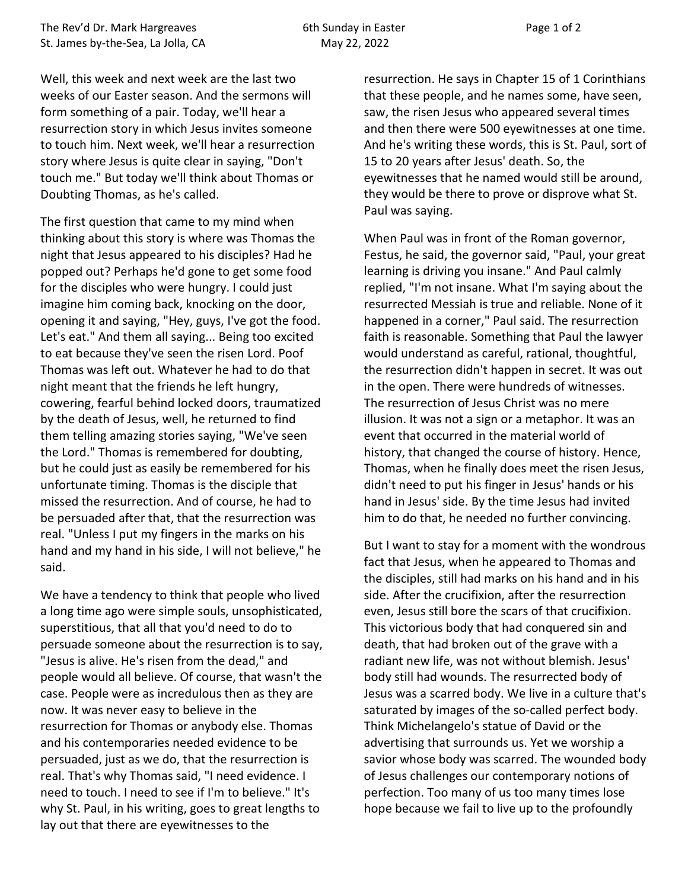Well, this week and next week are the last two weeks of our Easter season. And the sermons will form something of a pair. Today, we'll hear a resurrection story in which Jesus invites someone to touch him. Next week, we'll hear a resurrection story where Jesus is quite clear in saying, "Don't touch me." But today we'll think about Thomas or Doubting Thomas, as he's called.

The first question that came to my mind when thinking about this story is where was Thomas the night that Jesus appeared to his disciples? Had he popped out? Perhaps he'd gone to get some food for the disciples who were hungry. I could just imagine him coming back, knocking on the door, opening it and saying, "Hey, guys, I've got the food. Let's eat." And them all saying... Being too excited to eat because they've seen the risen Lord. Poof Thomas was left out. Whatever he had to do that night meant that the friends he left hungry, cowering, fearful behind locked doors, traumatized by the death of Jesus, well, he returned to find them telling amazing stories saying, "We've seen the Lord." Thomas is remembered for doubting, but he could just as easily be remembered for his unfortunate timing. Thomas is the disciple that missed the resurrection. And of course, he had to be persuaded after that, that the resurrection was real. "Unless I put my fingers in the marks on his hand and my hand in his side, I will not believe," he said.

We have a tendency to think that people who lived a long time ago were simple souls, unsophisticated, superstitious, that all that you'd need to do to persuade someone about the resurrection is to say, "Jesus is alive. He's risen from the dead," and people would all believe. Of course, that wasn't the case. People were as incredulous then as they are now. It was never easy to believe in the resurrection for Thomas or anybody else. Thomas and his contemporaries needed evidence to be persuaded, just as we do, that the resurrection is real. That's why Thomas said, "I need evidence. I need to touch. I need to see if I'm to believe." It's why St. Paul, in his writing, goes to great lengths to lay out that there are eyewitnesses to the

resurrection. He says in Chapter 15 of 1 Corinthians that these people, and he names some, have seen, saw, the risen Jesus who appeared several times and then there were 500 eyewitnesses at one time. And he's writing these words, this is St. Paul, sort of 15 to 20 years after Jesus' death. So, the eyewitnesses that he named would still be around, they would be there to prove or disprove what St. Paul was saying.

When Paul was in front of the Roman governor, Festus, he said, the governor said, "Paul, your great learning is driving you insane." And Paul calmly replied, "I'm not insane. What I'm saying about the resurrected Messiah is true and reliable. None of it happened in a corner," Paul said. The resurrection faith is reasonable. Something that Paul the lawyer would understand as careful, rational, thoughtful, the resurrection didn't happen in secret. It was out in the open. There were hundreds of witnesses. The resurrection of Jesus Christ was no mere illusion. It was not a sign or a metaphor. It was an event that occurred in the material world of history, that changed the course of history. Hence, Thomas, when he finally does meet the risen Jesus, didn't need to put his finger in Jesus' hands or his hand in Jesus' side. By the time Jesus had invited him to do that, he needed no further convincing.

But I want to stay for a moment with the wondrous fact that Jesus, when he appeared to Thomas and the disciples, still had marks on his hand and in his side. After the crucifixion, after the resurrection even, Jesus still bore the scars of that crucifixion. This victorious body that had conquered sin and death, that had broken out of the grave with a radiant new life, was not without blemish. Jesus' body still had wounds. The resurrected body of Jesus was a scarred body. We live in a culture that's saturated by images of the so-called perfect body. Think Michelangelo's statue of David or the advertising that surrounds us. Yet we worship a savior whose body was scarred. The wounded body of Jesus challenges our contemporary notions of perfection. Too many of us too many times lose hope because we fail to live up to the profoundly